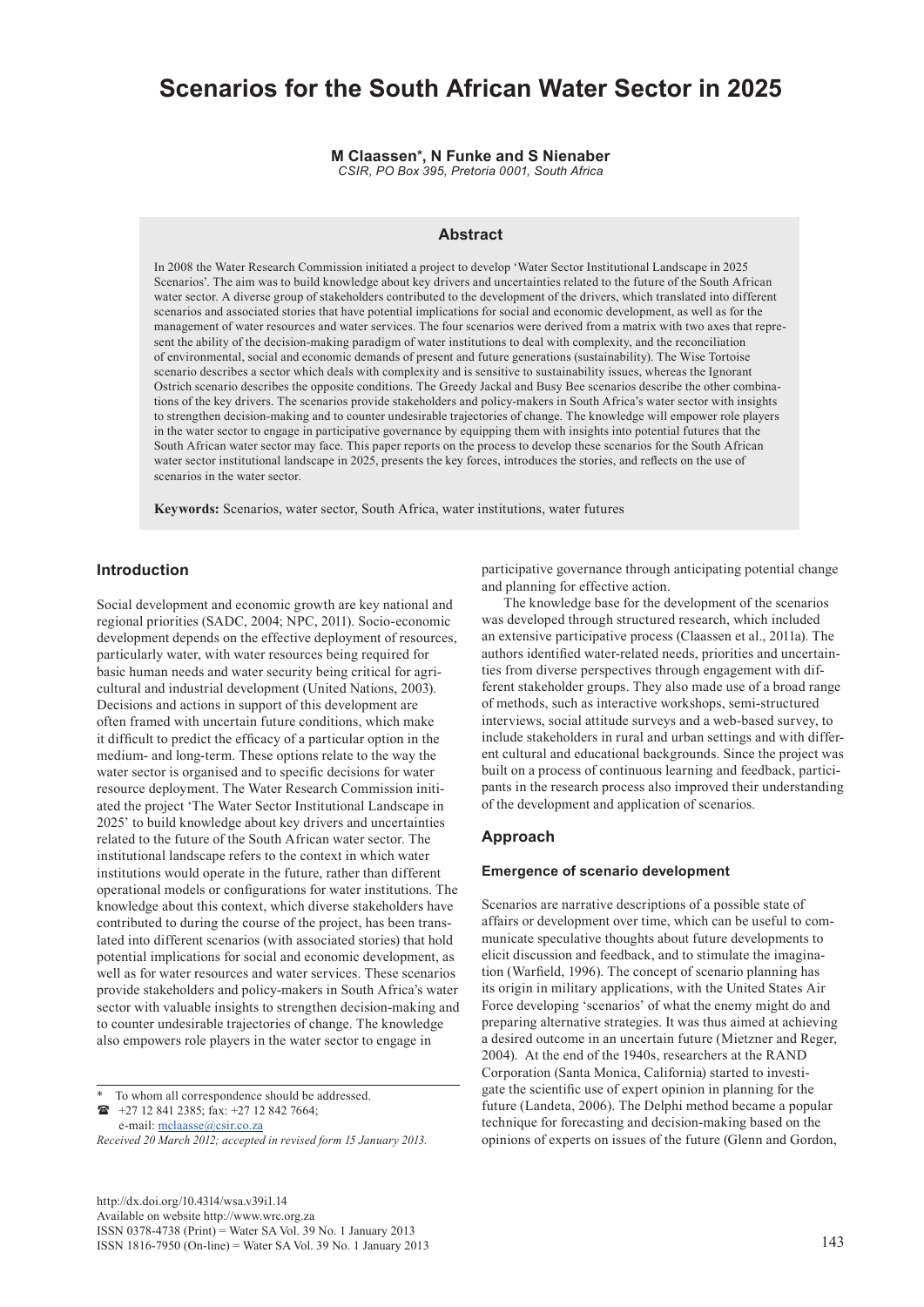# **Scenarios for the South African Water Sector in 2025**

**M Claassen**\***, N Funke and S Nienaber**

*CSIR, PO Box 395, Pretoria 0001, South Africa*

## **Abstract**

In 2008 the Water Research Commission initiated a project to develop 'Water Sector Institutional Landscape in 2025 Scenarios'. The aim was to build knowledge about key drivers and uncertainties related to the future of the South African water sector. A diverse group of stakeholders contributed to the development of the drivers, which translated into different scenarios and associated stories that have potential implications for social and economic development, as well as for the management of water resources and water services. The four scenarios were derived from a matrix with two axes that represent the ability of the decision-making paradigm of water institutions to deal with complexity, and the reconciliation of environmental, social and economic demands of present and future generations (sustainability). The Wise Tortoise scenario describes a sector which deals with complexity and is sensitive to sustainability issues, whereas the Ignorant Ostrich scenario describes the opposite conditions. The Greedy Jackal and Busy Bee scenarios describe the other combinations of the key drivers. The scenarios provide stakeholders and policy-makers in South Africa's water sector with insights to strengthen decision-making and to counter undesirable trajectories of change. The knowledge will empower role players in the water sector to engage in participative governance by equipping them with insights into potential futures that the South African water sector may face. This paper reports on the process to develop these scenarios for the South African water sector institutional landscape in 2025, presents the key forces, introduces the stories, and reflects on the use of scenarios in the water sector.

**Keywords:** Scenarios, water sector, South Africa, water institutions, water futures

## **Introduction**

Social development and economic growth are key national and regional priorities (SADC, 2004; NPC, 2011). Socio-economic development depends on the effective deployment of resources, particularly water, with water resources being required for basic human needs and water security being critical for agricultural and industrial development (United Nations, 2003). Decisions and actions in support of this development are often framed with uncertain future conditions, which make it difficult to predict the efficacy of a particular option in the medium- and long-term. These options relate to the way the water sector is organised and to specific decisions for water resource deployment. The Water Research Commission initiated the project 'The Water Sector Institutional Landscape in 2025' to build knowledge about key drivers and uncertainties related to the future of the South African water sector. The institutional landscape refers to the context in which water institutions would operate in the future, rather than different operational models or configurations for water institutions. The knowledge about this context, which diverse stakeholders have contributed to during the course of the project, has been translated into different scenarios (with associated stories) that hold potential implications for social and economic development, as well as for water resources and water services. These scenarios provide stakeholders and policy-makers in South Africa's water sector with valuable insights to strengthen decision-making and to counter undesirable trajectories of change. The knowledge also empowers role players in the water sector to engage in

To whom all correspondence should be addressed. +27 12 841 2385; fax: +27 12 842 7664;

e-mail: mclaasse@csir.co.za

*Received 20 March 2012; accepted in revised form 15 January 2013.*

[http://dx.doi.org/10.4314/wsa.v39i1.14](http://dx.doi.org/10.4314/wsa.v37i4.18) Available on website http://www.wrc.org.za ISSN 0378-4738 (Print) = Water SA Vol. 39 No. 1 January 2013 ISSN 1816-7950 (On-line) = Water SA Vol. 39 No. 1 January 2013 143

participative governance through anticipating potential change and planning for effective action.

The knowledge base for the development of the scenarios was developed through structured research, which included an extensive participative process (Claassen et al., 2011a). The authors identified water-related needs, priorities and uncertainties from diverse perspectives through engagement with different stakeholder groups. They also made use of a broad range of methods, such as interactive workshops, semi-structured interviews, social attitude surveys and a web-based survey, to include stakeholders in rural and urban settings and with different cultural and educational backgrounds. Since the project was built on a process of continuous learning and feedback, participants in the research process also improved their understanding of the development and application of scenarios.

## **Approach**

## **Emergence of scenario development**

Scenarios are narrative descriptions of a possible state of affairs or development over time, which can be useful to communicate speculative thoughts about future developments to elicit discussion and feedback, and to stimulate the imagination (Warfield, 1996). The concept of scenario planning has its origin in military applications, with the United States Air Force developing 'scenarios' of what the enemy might do and preparing alternative strategies. It was thus aimed at achieving a desired outcome in an uncertain future (Mietzner and Reger, 2004). At the end of the 1940s, researchers at the RAND Corporation (Santa Monica, California) started to investigate the scientific use of expert opinion in planning for the future (Landeta, 2006). The Delphi method became a popular technique for forecasting and decision-making based on the opinions of experts on issues of the future (Glenn and Gordon,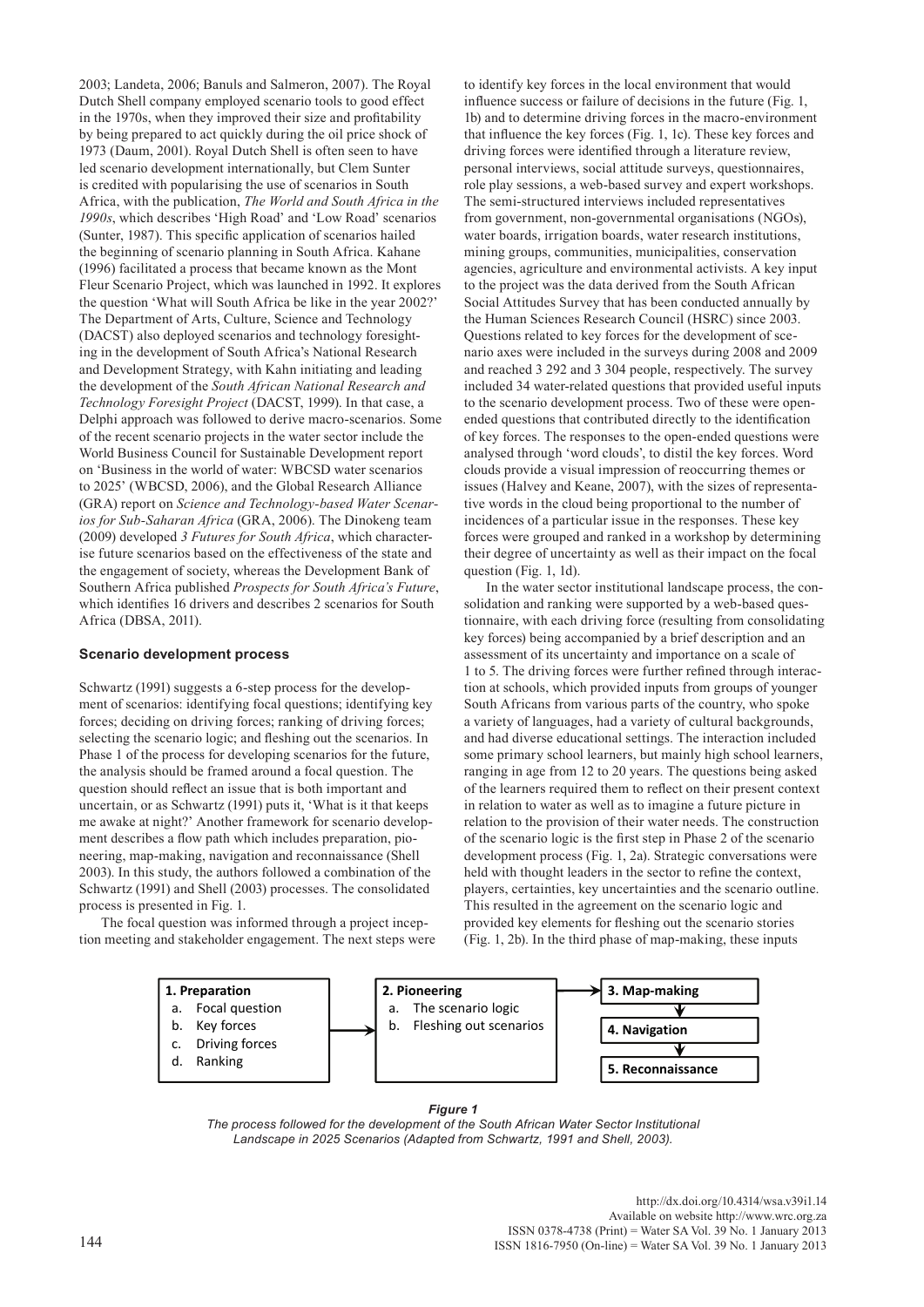2003; Landeta, 2006; Banuls and Salmeron, 2007). The Royal Dutch Shell company employed scenario tools to good effect in the 1970s, when they improved their size and profitability by being prepared to act quickly during the oil price shock of 1973 (Daum, 2001). Royal Dutch Shell is often seen to have led scenario development internationally, but Clem Sunter is credited with popularising the use of scenarios in South Africa, with the publication, *The World and South Africa in the 1990s*, which describes 'High Road' and 'Low Road' scenarios (Sunter, 1987). This specific application of scenarios hailed the beginning of scenario planning in South Africa. Kahane (1996) facilitated a process that became known as the Mont Fleur Scenario Project, which was launched in 1992. It explores the question 'What will South Africa be like in the year 2002?' The Department of Arts, Culture, Science and Technology (DACST) also deployed scenarios and technology foresighting in the development of South Africa's National Research and Development Strategy, with Kahn initiating and leading the development of the *South African National Research and Technology Foresight Project* (DACST, 1999). In that case, a Delphi approach was followed to derive macro-scenarios. Some of the recent scenario projects in the water sector include the World Business Council for Sustainable Development report on 'Business in the world of water: WBCSD water scenarios to 2025' (WBCSD, 2006), and the Global Research Alliance (GRA) report on *Science and Technology-based Water Scenarios for Sub-Saharan Africa* (GRA, 2006). The Dinokeng team (2009) developed *3 Futures for South Africa*, which characterise future scenarios based on the effectiveness of the state and the engagement of society, whereas the Development Bank of Southern Africa published *Prospects for South Africa's Future*, which identifies 16 drivers and describes 2 scenarios for South Africa (DBSA, 2011).

## **Scenario development process**

Schwartz (1991) suggests a 6-step process for the development of scenarios: identifying focal questions; identifying key forces; deciding on driving forces; ranking of driving forces; selecting the scenario logic; and fleshing out the scenarios. In Phase 1 of the process for developing scenarios for the future, the analysis should be framed around a focal question. The question should reflect an issue that is both important and uncertain, or as Schwartz (1991) puts it, 'What is it that keeps me awake at night?' Another framework for scenario development describes a flow path which includes preparation, pioneering, map-making, navigation and reconnaissance (Shell 2003). In this study, the authors followed a combination of the Schwartz (1991) and Shell (2003) processes. The consolidated process is presented in Fig. 1.

The focal question was informed through a project inception meeting and stakeholder engagement. The next steps were to identify key forces in the local environment that would influence success or failure of decisions in the future (Fig. 1, 1b) and to determine driving forces in the macro-environment that influence the key forces (Fig. 1, 1c). These key forces and driving forces were identified through a literature review, personal interviews, social attitude surveys, questionnaires, role play sessions, a web-based survey and expert workshops. The semi-structured interviews included representatives from government, non-governmental organisations (NGOs), water boards, irrigation boards, water research institutions, mining groups, communities, municipalities, conservation agencies, agriculture and environmental activists. A key input to the project was the data derived from the South African Social Attitudes Survey that has been conducted annually by the Human Sciences Research Council (HSRC) since 2003. Questions related to key forces for the development of scenario axes were included in the surveys during 2008 and 2009 and reached 3 292 and 3 304 people, respectively. The survey included 34 water-related questions that provided useful inputs to the scenario development process. Two of these were openended questions that contributed directly to the identification of key forces. The responses to the open-ended questions were analysed through 'word clouds', to distil the key forces. Word clouds provide a visual impression of reoccurring themes or issues (Halvey and Keane, 2007), with the sizes of representative words in the cloud being proportional to the number of incidences of a particular issue in the responses. These key forces were grouped and ranked in a workshop by determining their degree of uncertainty as well as their impact on the focal question (Fig. 1, 1d).

In the water sector institutional landscape process, the consolidation and ranking were supported by a web-based questionnaire, with each driving force (resulting from consolidating key forces) being accompanied by a brief description and an assessment of its uncertainty and importance on a scale of 1 to 5. The driving forces were further refined through interaction at schools, which provided inputs from groups of younger South Africans from various parts of the country, who spoke a variety of languages, had a variety of cultural backgrounds, and had diverse educational settings. The interaction included some primary school learners, but mainly high school learners, ranging in age from 12 to 20 years. The questions being asked of the learners required them to reflect on their present context in relation to water as well as to imagine a future picture in relation to the provision of their water needs. The construction of the scenario logic is the first step in Phase 2 of the scenario development process (Fig. 1, 2a). Strategic conversations were held with thought leaders in the sector to refine the context, players, certainties, key uncertainties and the scenario outline. This resulted in the agreement on the scenario logic and provided key elements for fleshing out the scenario stories (Fig. 1, 2b). In the third phase of map-making, these inputs



### *Figure 1*

*The process followed for the development of the South African Water Sector Institutional Landscape in 2025 Scenarios (Adapted from Schwartz, 1991 and Shell, 2003).*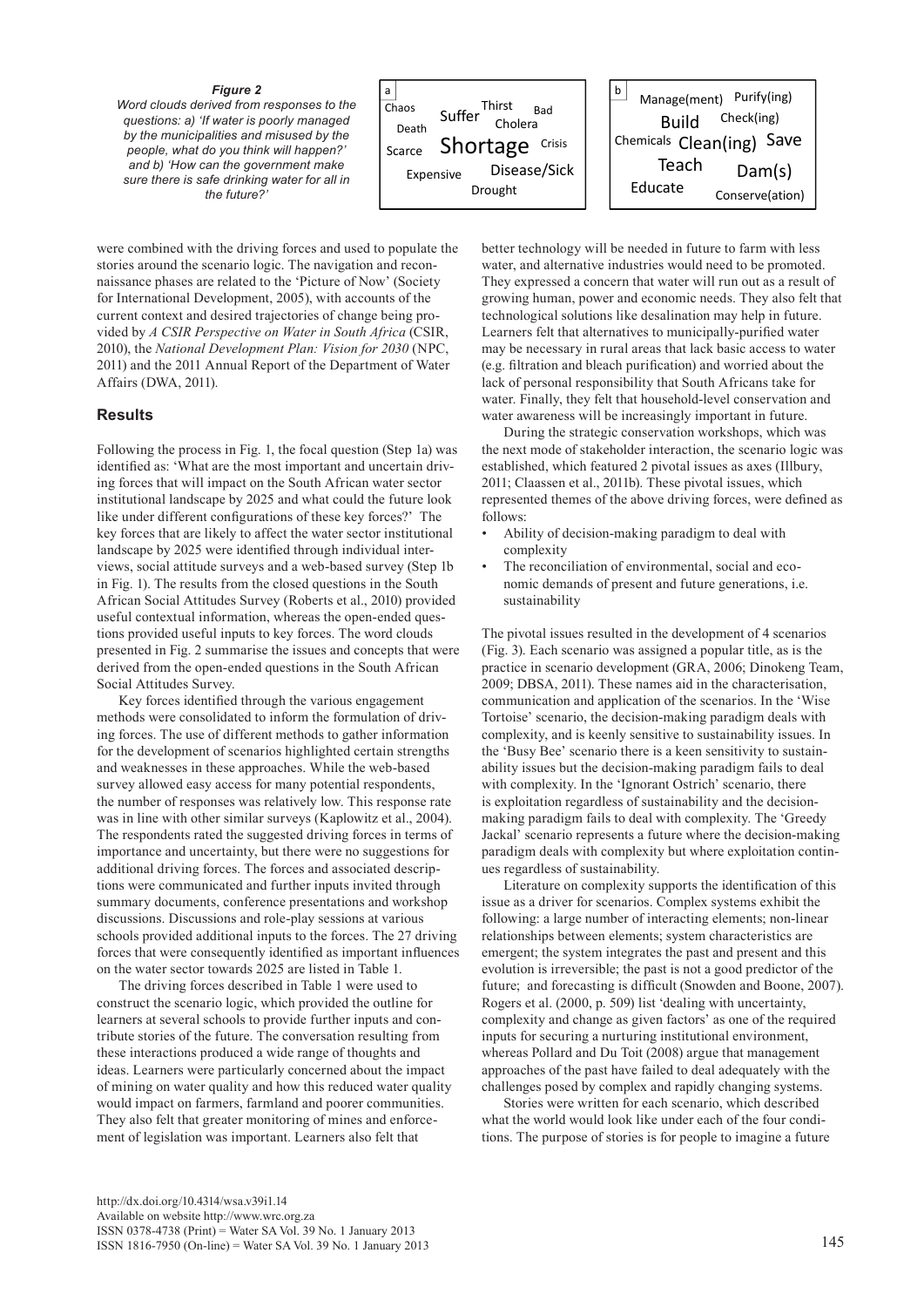*Word clouds derived from responses to the questions: a) 'If water is poorly managed by the municipalities and misused by the people, what do you think will happen?' and b) 'How can the government make sure there is safe drinking water for all in the future?'*



were combined with the driving forces and used to populate the stories around the scenario logic. The navigation and reconnaissance phases are related to the 'Picture of Now' (Society for International Development, 2005), with accounts of the current context and desired trajectories of change being provided by *A CSIR Perspective on Water in South Africa* (CSIR, 2010), the *National Development Plan: Vision for 2030* (NPC, 2011) and the 2011 Annual Report of the Department of Water Affairs (DWA, 2011).

## **Results**

Following the process in Fig. 1, the focal question (Step 1a) was identified as: 'What are the most important and uncertain driving forces that will impact on the South African water sector institutional landscape by 2025 and what could the future look like under different configurations of these key forces?' The key forces that are likely to affect the water sector institutional landscape by 2025 were identified through individual interviews, social attitude surveys and a web-based survey (Step 1b in Fig. 1). The results from the closed questions in the South African Social Attitudes Survey (Roberts et al., 2010) provided useful contextual information, whereas the open-ended questions provided useful inputs to key forces. The word clouds presented in Fig. 2 summarise the issues and concepts that were derived from the open-ended questions in the South African Social Attitudes Survey.

Key forces identified through the various engagement methods were consolidated to inform the formulation of driving forces. The use of different methods to gather information for the development of scenarios highlighted certain strengths and weaknesses in these approaches. While the web-based survey allowed easy access for many potential respondents, the number of responses was relatively low. This response rate was in line with other similar surveys (Kaplowitz et al., 2004). The respondents rated the suggested driving forces in terms of importance and uncertainty, but there were no suggestions for additional driving forces. The forces and associated descriptions were communicated and further inputs invited through summary documents, conference presentations and workshop discussions. Discussions and role-play sessions at various schools provided additional inputs to the forces. The 27 driving forces that were consequently identified as important influences on the water sector towards 2025 are listed in Table 1.

The driving forces described in Table 1 were used to construct the scenario logic, which provided the outline for learners at several schools to provide further inputs and contribute stories of the future. The conversation resulting from these interactions produced a wide range of thoughts and ideas. Learners were particularly concerned about the impact of mining on water quality and how this reduced water quality would impact on farmers, farmland and poorer communities. They also felt that greater monitoring of mines and enforcement of legislation was important. Learners also felt that

better technology will be needed in future to farm with less water, and alternative industries would need to be promoted. They expressed a concern that water will run out as a result of growing human, power and economic needs. They also felt that technological solutions like desalination may help in future. Learners felt that alternatives to municipally-purified water may be necessary in rural areas that lack basic access to water (e.g. filtration and bleach purification) and worried about the lack of personal responsibility that South Africans take for water. Finally, they felt that household-level conservation and water awareness will be increasingly important in future.

During the strategic conservation workshops, which was the next mode of stakeholder interaction, the scenario logic was established, which featured 2 pivotal issues as axes (Illbury, 2011; Claassen et al., 2011b). These pivotal issues, which represented themes of the above driving forces, were defined as follows:

- Ability of decision-making paradigm to deal with complexity
- The reconciliation of environmental, social and economic demands of present and future generations, i.e. sustainability

The pivotal issues resulted in the development of 4 scenarios (Fig. 3). Each scenario was assigned a popular title, as is the practice in scenario development (GRA, 2006; Dinokeng Team, 2009; DBSA, 2011). These names aid in the characterisation, communication and application of the scenarios. In the 'Wise Tortoise' scenario, the decision-making paradigm deals with complexity, and is keenly sensitive to sustainability issues. In the 'Busy Bee' scenario there is a keen sensitivity to sustainability issues but the decision-making paradigm fails to deal with complexity. In the 'Ignorant Ostrich' scenario, there is exploitation regardless of sustainability and the decisionmaking paradigm fails to deal with complexity. The 'Greedy Jackal' scenario represents a future where the decision-making paradigm deals with complexity but where exploitation continues regardless of sustainability.

Literature on complexity supports the identification of this issue as a driver for scenarios. Complex systems exhibit the following: a large number of interacting elements; non-linear relationships between elements; system characteristics are emergent; the system integrates the past and present and this evolution is irreversible; the past is not a good predictor of the future; and forecasting is difficult (Snowden and Boone, 2007). Rogers et al. (2000, p. 509) list 'dealing with uncertainty, complexity and change as given factors' as one of the required inputs for securing a nurturing institutional environment, whereas Pollard and Du Toit (2008) argue that management approaches of the past have failed to deal adequately with the challenges posed by complex and rapidly changing systems.

Stories were written for each scenario, which described what the world would look like under each of the four conditions. The purpose of stories is for people to imagine a future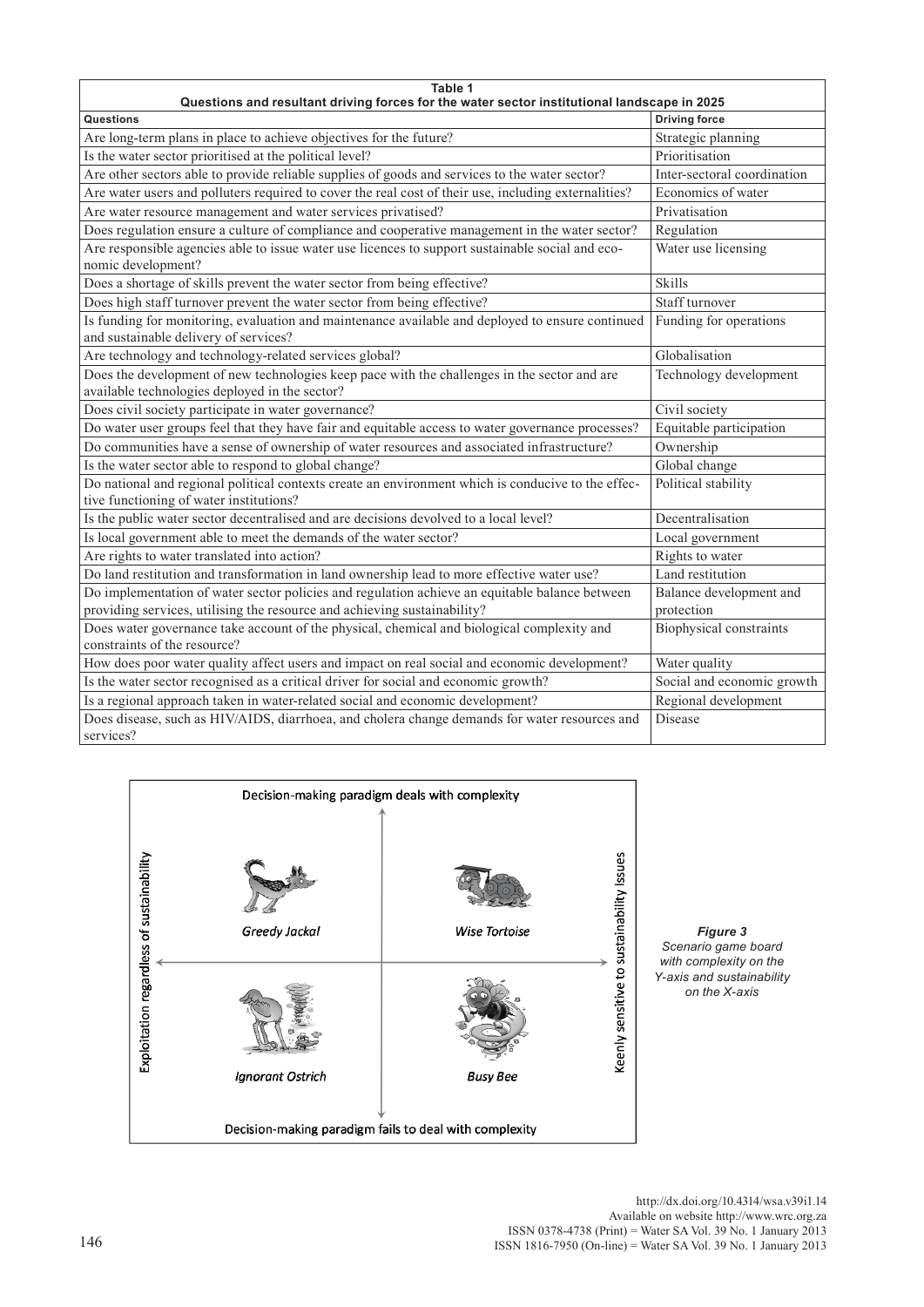| Table 1<br>Questions and resultant driving forces for the water sector institutional landscape in 2025                                                                     |                                       |
|----------------------------------------------------------------------------------------------------------------------------------------------------------------------------|---------------------------------------|
| Questions                                                                                                                                                                  | <b>Driving force</b>                  |
| Are long-term plans in place to achieve objectives for the future?                                                                                                         | Strategic planning                    |
| Is the water sector prioritised at the political level?                                                                                                                    | Prioritisation                        |
| Are other sectors able to provide reliable supplies of goods and services to the water sector?                                                                             | Inter-sectoral coordination           |
| Are water users and polluters required to cover the real cost of their use, including externalities?                                                                       | Economics of water                    |
| Are water resource management and water services privatised?                                                                                                               | Privatisation                         |
| Does regulation ensure a culture of compliance and cooperative management in the water sector?                                                                             | Regulation                            |
| Are responsible agencies able to issue water use licences to support sustainable social and eco-<br>nomic development?                                                     | Water use licensing                   |
| Does a shortage of skills prevent the water sector from being effective?                                                                                                   | Skills                                |
| Does high staff turnover prevent the water sector from being effective?                                                                                                    | Staff turnover                        |
| Is funding for monitoring, evaluation and maintenance available and deployed to ensure continued<br>and sustainable delivery of services?                                  | Funding for operations                |
| Are technology and technology-related services global?                                                                                                                     | Globalisation                         |
| Does the development of new technologies keep pace with the challenges in the sector and are<br>available technologies deployed in the sector?                             | Technology development                |
| Does civil society participate in water governance?                                                                                                                        | Civil society                         |
| Do water user groups feel that they have fair and equitable access to water governance processes?                                                                          | Equitable participation               |
| Do communities have a sense of ownership of water resources and associated infrastructure?                                                                                 | Ownership                             |
| Is the water sector able to respond to global change?                                                                                                                      | Global change                         |
| Do national and regional political contexts create an environment which is conducive to the effec-<br>tive functioning of water institutions?                              | Political stability                   |
| Is the public water sector decentralised and are decisions devolved to a local level?                                                                                      | Decentralisation                      |
| Is local government able to meet the demands of the water sector?                                                                                                          | Local government                      |
| Are rights to water translated into action?                                                                                                                                | Rights to water                       |
| Do land restitution and transformation in land ownership lead to more effective water use?                                                                                 | Land restitution                      |
| Do implementation of water sector policies and regulation achieve an equitable balance between<br>providing services, utilising the resource and achieving sustainability? | Balance development and<br>protection |
| Does water governance take account of the physical, chemical and biological complexity and<br>constraints of the resource?                                                 | Biophysical constraints               |
| How does poor water quality affect users and impact on real social and economic development?                                                                               | Water quality                         |
| Is the water sector recognised as a critical driver for social and economic growth?                                                                                        | Social and economic growth            |
| Is a regional approach taken in water-related social and economic development?                                                                                             | Regional development                  |
| Does disease, such as HIV/AIDS, diarrhoea, and cholera change demands for water resources and<br>services?                                                                 | Disease                               |

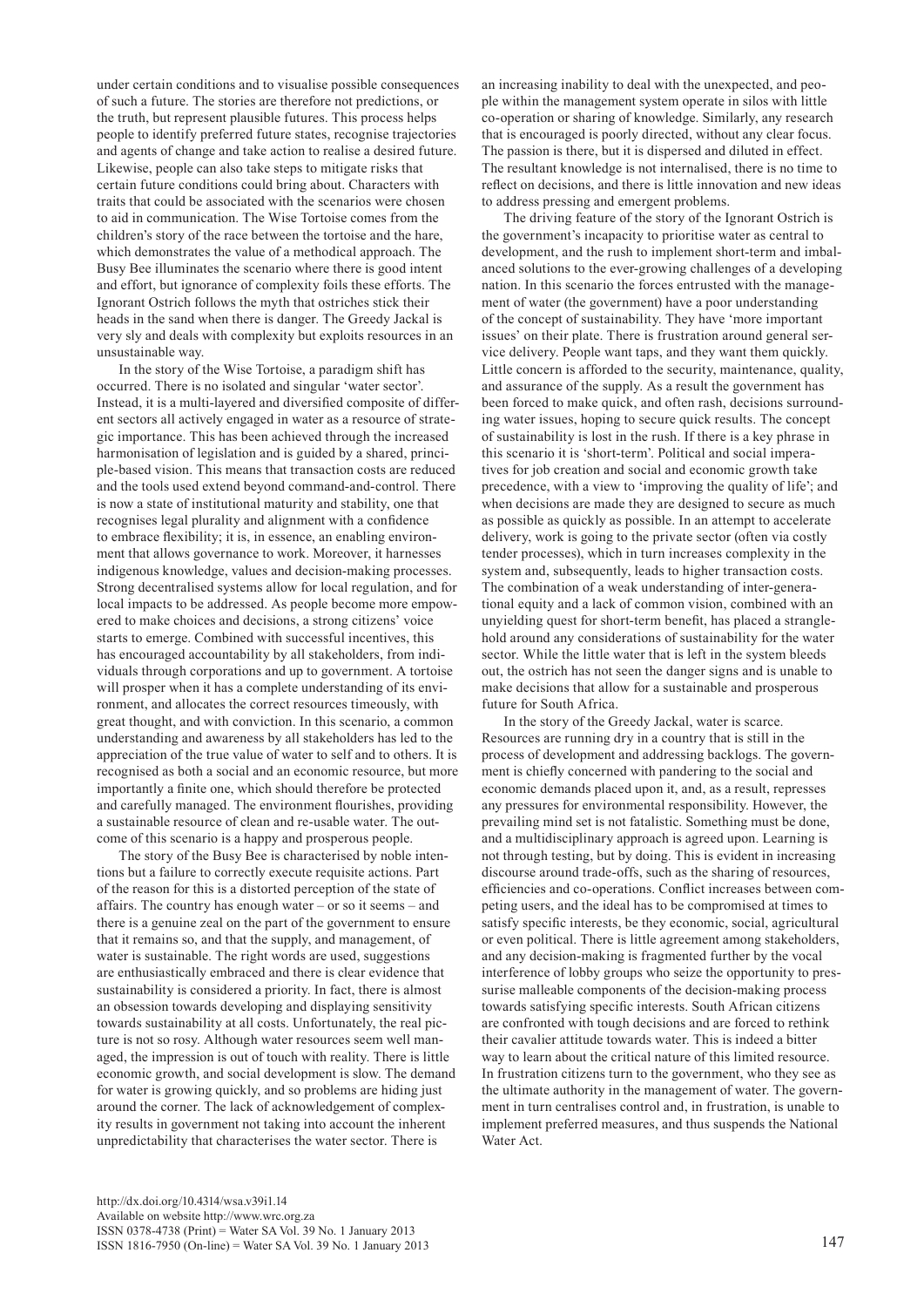under certain conditions and to visualise possible consequences of such a future. The stories are therefore not predictions, or the truth, but represent plausible futures. This process helps people to identify preferred future states, recognise trajectories and agents of change and take action to realise a desired future. Likewise, people can also take steps to mitigate risks that certain future conditions could bring about. Characters with traits that could be associated with the scenarios were chosen to aid in communication. The Wise Tortoise comes from the children's story of the race between the tortoise and the hare, which demonstrates the value of a methodical approach. The Busy Bee illuminates the scenario where there is good intent and effort, but ignorance of complexity foils these efforts. The Ignorant Ostrich follows the myth that ostriches stick their heads in the sand when there is danger. The Greedy Jackal is very sly and deals with complexity but exploits resources in an unsustainable way.

In the story of the Wise Tortoise, a paradigm shift has occurred. There is no isolated and singular 'water sector'. Instead, it is a multi-layered and diversified composite of different sectors all actively engaged in water as a resource of strategic importance. This has been achieved through the increased harmonisation of legislation and is guided by a shared, principle-based vision. This means that transaction costs are reduced and the tools used extend beyond command-and-control. There is now a state of institutional maturity and stability, one that recognises legal plurality and alignment with a confidence to embrace flexibility; it is, in essence, an enabling environment that allows governance to work. Moreover, it harnesses indigenous knowledge, values and decision-making processes. Strong decentralised systems allow for local regulation, and for local impacts to be addressed. As people become more empowered to make choices and decisions, a strong citizens' voice starts to emerge. Combined with successful incentives, this has encouraged accountability by all stakeholders, from individuals through corporations and up to government. A tortoise will prosper when it has a complete understanding of its environment, and allocates the correct resources timeously, with great thought, and with conviction. In this scenario, a common understanding and awareness by all stakeholders has led to the appreciation of the true value of water to self and to others. It is recognised as both a social and an economic resource, but more importantly a finite one, which should therefore be protected and carefully managed. The environment flourishes, providing a sustainable resource of clean and re-usable water. The outcome of this scenario is a happy and prosperous people.

The story of the Busy Bee is characterised by noble intentions but a failure to correctly execute requisite actions. Part of the reason for this is a distorted perception of the state of affairs. The country has enough water – or so it seems – and there is a genuine zeal on the part of the government to ensure that it remains so, and that the supply, and management, of water is sustainable. The right words are used, suggestions are enthusiastically embraced and there is clear evidence that sustainability is considered a priority. In fact, there is almost an obsession towards developing and displaying sensitivity towards sustainability at all costs. Unfortunately, the real picture is not so rosy. Although water resources seem well managed, the impression is out of touch with reality. There is little economic growth, and social development is slow. The demand for water is growing quickly, and so problems are hiding just around the corner. The lack of acknowledgement of complexity results in government not taking into account the inherent unpredictability that characterises the water sector. There is

an increasing inability to deal with the unexpected, and people within the management system operate in silos with little co-operation or sharing of knowledge. Similarly, any research that is encouraged is poorly directed, without any clear focus. The passion is there, but it is dispersed and diluted in effect. The resultant knowledge is not internalised, there is no time to reflect on decisions, and there is little innovation and new ideas to address pressing and emergent problems.

The driving feature of the story of the Ignorant Ostrich is the government's incapacity to prioritise water as central to development, and the rush to implement short-term and imbalanced solutions to the ever-growing challenges of a developing nation. In this scenario the forces entrusted with the management of water (the government) have a poor understanding of the concept of sustainability. They have 'more important issues' on their plate. There is frustration around general service delivery. People want taps, and they want them quickly. Little concern is afforded to the security, maintenance, quality, and assurance of the supply. As a result the government has been forced to make quick, and often rash, decisions surrounding water issues, hoping to secure quick results. The concept of sustainability is lost in the rush. If there is a key phrase in this scenario it is 'short-term'. Political and social imperatives for job creation and social and economic growth take precedence, with a view to 'improving the quality of life'; and when decisions are made they are designed to secure as much as possible as quickly as possible. In an attempt to accelerate delivery, work is going to the private sector (often via costly tender processes), which in turn increases complexity in the system and, subsequently, leads to higher transaction costs. The combination of a weak understanding of inter-generational equity and a lack of common vision, combined with an unyielding quest for short-term benefit, has placed a stranglehold around any considerations of sustainability for the water sector. While the little water that is left in the system bleeds out, the ostrich has not seen the danger signs and is unable to make decisions that allow for a sustainable and prosperous future for South Africa.

In the story of the Greedy Jackal, water is scarce. Resources are running dry in a country that is still in the process of development and addressing backlogs. The government is chiefly concerned with pandering to the social and economic demands placed upon it, and, as a result, represses any pressures for environmental responsibility. However, the prevailing mind set is not fatalistic. Something must be done, and a multidisciplinary approach is agreed upon. Learning is not through testing, but by doing. This is evident in increasing discourse around trade-offs, such as the sharing of resources, efficiencies and co-operations. Conflict increases between competing users, and the ideal has to be compromised at times to satisfy specific interests, be they economic, social, agricultural or even political. There is little agreement among stakeholders, and any decision-making is fragmented further by the vocal interference of lobby groups who seize the opportunity to pressurise malleable components of the decision-making process towards satisfying specific interests. South African citizens are confronted with tough decisions and are forced to rethink their cavalier attitude towards water. This is indeed a bitter way to learn about the critical nature of this limited resource. In frustration citizens turn to the government, who they see as the ultimate authority in the management of water. The government in turn centralises control and, in frustration, is unable to implement preferred measures, and thus suspends the National Water Act.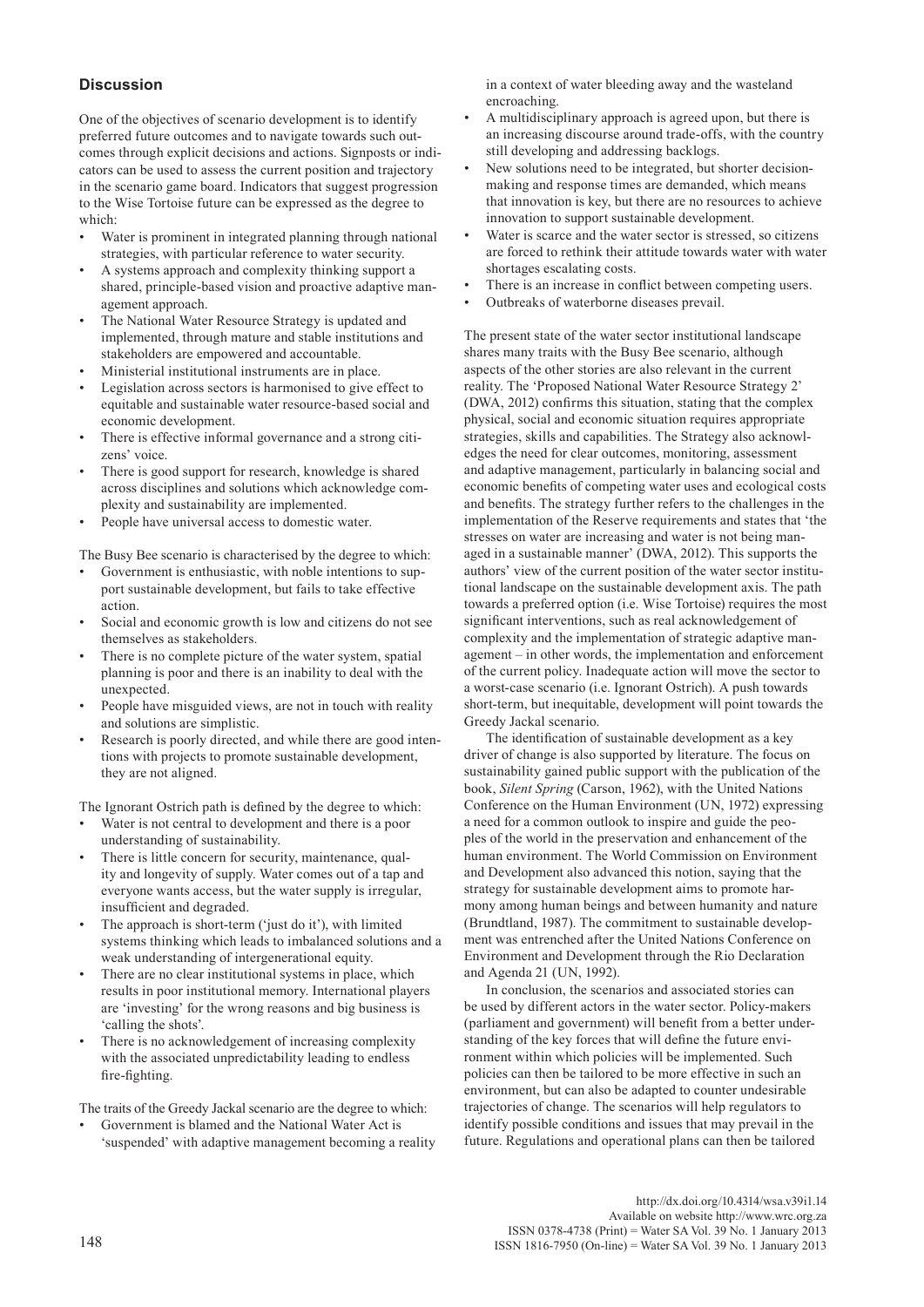## **Discussion**

One of the objectives of scenario development is to identify preferred future outcomes and to navigate towards such outcomes through explicit decisions and actions. Signposts or indicators can be used to assess the current position and trajectory in the scenario game board. Indicators that suggest progression to the Wise Tortoise future can be expressed as the degree to which:

- Water is prominent in integrated planning through national strategies, with particular reference to water security.
- A systems approach and complexity thinking support a shared, principle-based vision and proactive adaptive management approach.
- The National Water Resource Strategy is updated and implemented, through mature and stable institutions and stakeholders are empowered and accountable.
- Ministerial institutional instruments are in place.
- Legislation across sectors is harmonised to give effect to equitable and sustainable water resource-based social and economic development.
- There is effective informal governance and a strong citizens' voice.
- There is good support for research, knowledge is shared across disciplines and solutions which acknowledge complexity and sustainability are implemented.
- People have universal access to domestic water.

The Busy Bee scenario is characterised by the degree to which:

- Government is enthusiastic, with noble intentions to support sustainable development, but fails to take effective action.
- Social and economic growth is low and citizens do not see themselves as stakeholders.
- There is no complete picture of the water system, spatial planning is poor and there is an inability to deal with the unexpected.
- People have misguided views, are not in touch with reality and solutions are simplistic.
- Research is poorly directed, and while there are good intentions with projects to promote sustainable development, they are not aligned.

The Ignorant Ostrich path is defined by the degree to which:

- Water is not central to development and there is a poor understanding of sustainability.
- There is little concern for security, maintenance, quality and longevity of supply. Water comes out of a tap and everyone wants access, but the water supply is irregular, insufficient and degraded.
- The approach is short-term ('just do it'), with limited systems thinking which leads to imbalanced solutions and a weak understanding of intergenerational equity.
- There are no clear institutional systems in place, which results in poor institutional memory. International players are 'investing' for the wrong reasons and big business is 'calling the shots'.
- There is no acknowledgement of increasing complexity with the associated unpredictability leading to endless fire-fighting.

The traits of the Greedy Jackal scenario are the degree to which:

Government is blamed and the National Water Act is 'suspended' with adaptive management becoming a reality

in a context of water bleeding away and the wasteland encroaching.

- A multidisciplinary approach is agreed upon, but there is an increasing discourse around trade-offs, with the country still developing and addressing backlogs.
- New solutions need to be integrated, but shorter decisionmaking and response times are demanded, which means that innovation is key, but there are no resources to achieve innovation to support sustainable development.
- Water is scarce and the water sector is stressed, so citizens are forced to rethink their attitude towards water with water shortages escalating costs.
- There is an increase in conflict between competing users.
- Outbreaks of waterborne diseases prevail.

The present state of the water sector institutional landscape shares many traits with the Busy Bee scenario, although aspects of the other stories are also relevant in the current reality. The 'Proposed National Water Resource Strategy 2' (DWA, 2012) confirms this situation, stating that the complex physical, social and economic situation requires appropriate strategies, skills and capabilities. The Strategy also acknowledges the need for clear outcomes, monitoring, assessment and adaptive management, particularly in balancing social and economic benefits of competing water uses and ecological costs and benefits. The strategy further refers to the challenges in the implementation of the Reserve requirements and states that 'the stresses on water are increasing and water is not being managed in a sustainable manner' (DWA, 2012). This supports the authors' view of the current position of the water sector institutional landscape on the sustainable development axis. The path towards a preferred option (i.e. Wise Tortoise) requires the most significant interventions, such as real acknowledgement of complexity and the implementation of strategic adaptive management – in other words, the implementation and enforcement of the current policy. Inadequate action will move the sector to a worst-case scenario (i.e. Ignorant Ostrich). A push towards short-term, but inequitable, development will point towards the Greedy Jackal scenario.

The identification of sustainable development as a key driver of change is also supported by literature. The focus on sustainability gained public support with the publication of the book, *Silent Spring* (Carson, 1962), with the United Nations Conference on the Human Environment (UN, 1972) expressing a need for a common outlook to inspire and guide the peoples of the world in the preservation and enhancement of the human environment. The World Commission on Environment and Development also advanced this notion, saying that the strategy for sustainable development aims to promote harmony among human beings and between humanity and nature (Brundtland, 1987). The commitment to sustainable development was entrenched after the United Nations Conference on Environment and Development through the Rio Declaration and Agenda 21 (UN, 1992).

In conclusion, the scenarios and associated stories can be used by different actors in the water sector. Policy-makers (parliament and government) will benefit from a better understanding of the key forces that will define the future environment within which policies will be implemented. Such policies can then be tailored to be more effective in such an environment, but can also be adapted to counter undesirable trajectories of change. The scenarios will help regulators to identify possible conditions and issues that may prevail in the future. Regulations and operational plans can then be tailored